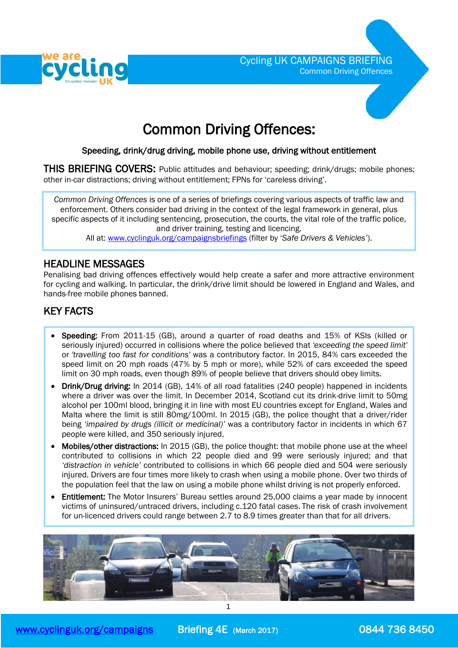



# Common Driving Offences:

# Speeding, drink/drug driving, mobile phone use, driving without entitlement

THIS BRIEFING COVERS: Public attitudes and behaviour; speeding; drink/drugs; mobile phones; other in-car distractions; driving without entitlement; FPNs for 'careless driving'.

*Common Driving Offences* is one of a series of briefings covering various aspects of traffic law and enforcement. Others consider bad driving in the context of the legal framework in general, plus specific aspects of it including sentencing, prosecution, the courts, the vital role of the traffic police, and driver training, testing and licencing.

All at: [www.cyclinguk.org/campaignsbriefings](http://www.ctc.org.uk/campaignsbriefings) (filter by '*Safe Drivers & Vehicles'*).

# HEADLINE MESSAGES

Penalising bad driving offences effectively would help create a safer and more attractive environment for cycling and walking. In particular, the drink/drive limit should be lowered in England and Wales, and hands-free mobile phones banned.

# KEY FACTS

ļ

l

- HEADLINE MESSAGES seriously injured) occurred in collisions where the police believed that *'exceeding the speed limit'* or *'travelling too fast for conditions'* was a contributory factor. In 2015, 84% cars exceeded the speed limit on 20 mph roads (47% by 5 mph or more), while 52% of cars exceeded the speed limit on 30 mph roads, even though 89% of people believe that drivers should obey limits. Speeding: From 2011-15 (GB), around a quarter of road deaths and 15% of KSIs (killed or
	- Drink/Drug driving: In 2014 (GB), 14% of all road fatalities (240 people) happened in incidents where a driver was over the limit. In December 2014, Scotland cut its drink-drive limit to 50mg alcohol per 100ml blood, bringing it in line with most EU countries except for England, Wales and Malta where the limit is still 80mg/100ml. In 2015 (GB), the police thought that a driver/rider being *'impaired by drugs (illicit or medicinal)'* was a contributory factor in incidents in which 67 people were killed, and 350 seriously injured.
	- Mobiles/other distractions: In 2015 (GB), the police thought: that mobile phone use at the wheel contributed to collisions in which 22 people died and 99 were seriously injured; and that *'distraction in vehicle'* contributed to collisions in which 66 people died and 504 were seriously injured. Drivers are four times more likely to crash when using a mobile phone. Over two thirds of the population feel that the law on using a mobile phone whilst driving is not properly enforced.
	- Entitlement: The Motor Insurers' Bureau settles around 25,000 claims a year made by innocent victims of uninsured/untraced drivers, including c.120 fatal cases. The risk of crash involvement for un-licenced drivers could range between 2.7 to 8.9 times greater than that for all drivers.

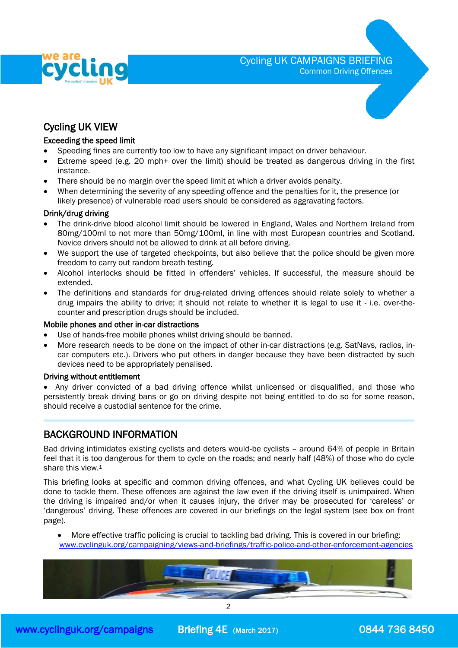

Cycling UK CAMPAIGNS BRIEFING Common Driving Offences



# Exceeding the speed limit

- Speeding fines are currently too low to have any significant impact on driver behaviour.
- Extreme speed (e.g. 20 mph+ over the limit) should be treated as dangerous driving in the first instance.
- There should be no margin over the speed limit at which a driver avoids penalty.
- When determining the severity of any speeding offence and the penalties for it, the presence (or likely presence) of vulnerable road users should be considered as aggravating factors.

#### Drink/drug driving

- The drink-drive blood alcohol limit should be lowered in England, Wales and Northern Ireland from 80mg/100ml to not more than 50mg/100ml, in line with most European countries and Scotland. Novice drivers should not be allowed to drink at all before driving.
- We support the use of targeted checkpoints, but also believe that the police should be given more freedom to carry out random breath testing.
- Alcohol interlocks should be fitted in offenders' vehicles. If successful, the measure should be extended.
- The definitions and standards for drug-related driving offences should relate solely to whether a drug impairs the ability to drive; it should not relate to whether it is legal to use it - i.e. over-thecounter and prescription drugs should be included.

## Mobile phones and other in-car distractions

- Use of hands-free mobile phones whilst driving should be banned.
- More research needs to be done on the impact of other in-car distractions (e.g. SatNavs, radios, incar computers etc.). Drivers who put others in danger because they have been distracted by such devices need to be appropriately penalised.

### Driving without entitlement

• Any driver convicted of a bad driving offence whilst unlicensed or disqualified, and those who persistently break driving bans or go on driving despite not being entitled to do so for some reason, should receive a custodial sentence for the crime.

# BACKGROUND INFORMATION

Bad driving intimidates existing cyclists and deters would-be cyclists – around 64% of people in Britain feel that it is too dangerous for them to cycle on the roads; and nearly half (48%) of those who do cycle share this view.<sup>1</sup>

This briefing looks at specific and common driving offences, and what Cycling UK believes could be done to tackle them. These offences are against the law even if the driving itself is unimpaired. When the driving is impaired and/or when it causes injury, the driver may be prosecuted for 'careless' or 'dangerous' driving. These offences are covered in our briefings on the legal system (see box on front page).

 More effective traffic policing is crucial to tackling bad driving. This is covered in our briefing: [www.cyclinguk.org/campaigning/views-and-briefings/traffic-police-and-other-enforcement-agencies](https://www.ctc.org.uk/campaigning/views-and-briefings/traffic-police-and-other-enforcement-agencies)

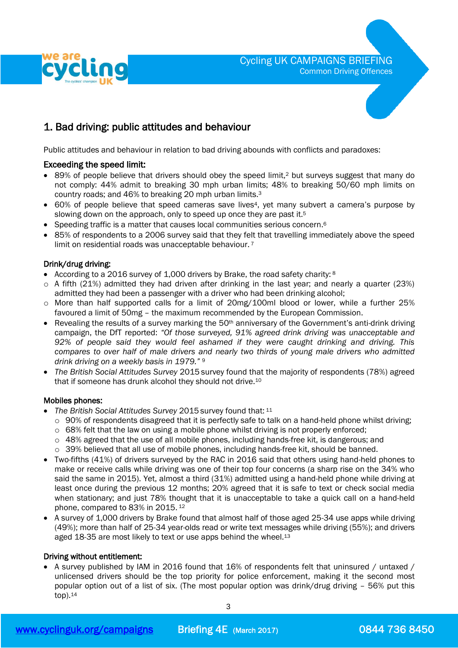

# 1. Bad driving: public attitudes and behaviour

Public attitudes and behaviour in relation to bad driving abounds with conflicts and paradoxes:

## Exceeding the speed limit:

- 89% of people believe that drivers should obey the speed limit, <sup>2</sup> but surveys suggest that many do not comply: 44% admit to breaking 30 mph urban limits; 48% to breaking 50/60 mph limits on country roads; and 46% to breaking 20 mph urban limits.<sup>3</sup>
- 60% of people believe that speed cameras save lives4, yet many subvert a camera's purpose by slowing down on the approach, only to speed up once they are past it.<sup>5</sup>
- Speeding traffic is a matter that causes local communities serious concern.<sup>6</sup>
- 85% of respondents to a 2006 survey said that they felt that travelling immediately above the speed limit on residential roads was unacceptable behaviour.<sup>7</sup>

## Drink/drug driving:

- According to a 2016 survey of 1,000 drivers by Brake, the road safety charity:  $8$
- o A fifth (21%) admitted they had driven after drinking in the last year; and nearly a quarter (23%) admitted they had been a passenger with a driver who had been drinking alcohol;
- o More than half supported calls for a limit of 20mg/100ml blood or lower, while a further 25% favoured a limit of 50mg – the maximum recommended by the European Commission.
- **•** Revealing the results of a survey marking the  $50<sup>th</sup>$  anniversary of the Government's anti-drink driving campaign, the DfT reported: *"Of those surveyed, 91% agreed drink driving was unacceptable and 92% of people said they would feel ashamed if they were caught drinking and driving. This compares to over half of male drivers and nearly two thirds of young male drivers who admitted drink driving on a weekly basis in 1979."* <sup>9</sup>
- *The British Social Attitudes Survey* 2015 survey found that the majority of respondents (78%) agreed that if someone has drunk alcohol they should not drive. 10

### Mobiles phones:

- *The British Social Attitudes Survey* 2015 survey found that: <sup>11</sup>
	- o 90% of respondents disagreed that it is perfectly safe to talk on a hand-held phone whilst driving;
	- $\circ$  68% felt that the law on using a mobile phone whilst driving is not properly enforced;
	- $\circ$  48% agreed that the use of all mobile phones, including hands-free kit, is dangerous; and
	- o 39% believed that all use of mobile phones, including hands-free kit, should be banned.
- Two-fifths (41%) of drivers surveyed by the RAC in 2016 said that others using hand-held phones to make or receive calls while driving was one of their top four concerns (a sharp rise on the 34% who said the same in 2015). Yet, almost a third (31%) admitted using a hand-held phone while driving at least once during the previous 12 months; 20% agreed that it is safe to text or check social media when stationary; and just 78% thought that it is unacceptable to take a quick call on a hand-held phone, compared to 83% in 2015. 12
- A survey of 1,000 drivers by Brake found that almost half of those aged 25-34 use apps while driving (49%); more than half of 25-34 year-olds read or write text messages while driving (55%); and drivers aged 18-35 are most likely to text or use apps behind the wheel.<sup>13</sup>

### Driving without entitlement:

• A survey published by IAM in 2016 found that 16% of respondents felt that uninsured / untaxed / unlicensed drivers should be the top priority for police enforcement, making it the second most popular option out of a list of six. (The most popular option was drink/drug driving – 56% put this top). 14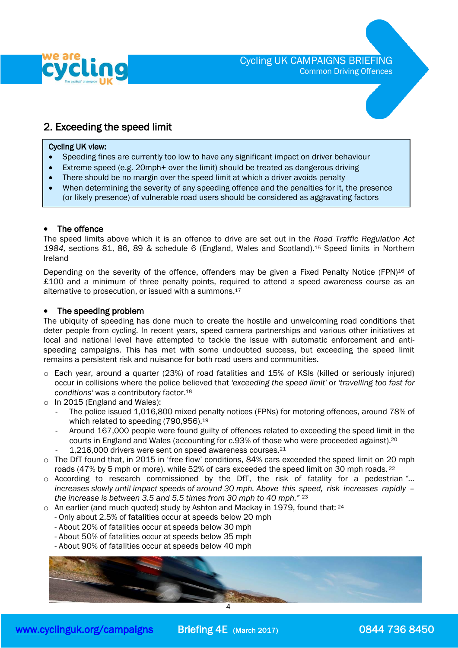

# 2. Exceeding the speed limit

#### $\overline{a}$ Cycling UK view:

- Speeding fines are currently too low to have any significant impact on driver behaviour
- Extreme speed (e.g. 20mph+ over the limit) should be treated as dangerous driving
- There should be no margin over the speed limit at which a driver avoids penalty
- When determining the severity of any speeding offence and the penalties for it, the presence (or likely presence) of vulnerable road users should be considered as aggravating factors

### The offence

The speed limits above which it is an offence to drive are set out in the *Road Traffic Regulation Act 1984,* sections 81, 86, 89 & schedule 6 (England, Wales and Scotland).<sup>15</sup> Speed limits in Northern Ireland

Depending on the severity of the offence, offenders may be given a Fixed Penalty Notice (FPN)<sup>16</sup> of £100 and a minimum of three penalty points, required to attend a speed awareness course as an alternative to prosecution, or issued with a summons.<sup>17</sup>

#### • The speeding problem

The ubiquity of speeding has done much to create the hostile and unwelcoming road conditions that deter people from cycling. In recent years, speed camera partnerships and various other initiatives at local and national level have attempted to tackle the issue with automatic enforcement and antispeeding campaigns. This has met with some undoubted success, but exceeding the speed limit remains a persistent risk and nuisance for both road users and communities.

- o Each year, around a quarter (23%) of road fatalities and 15% of KSIs (killed or seriously injured) occur in collisions where the police believed that *'exceeding the speed limit'* or *'travelling too fast for conditions'* was a contributory factor.<sup>18</sup>
- o In 2015 (England and Wales):
	- The police issued 1,016,800 mixed penalty notices (FPNs) for motoring offences, around 78% of which related to speeding (790,956).<sup>19</sup>
	- Around 167,000 people were found guilty of offences related to exceeding the speed limit in the courts in England and Wales (accounting for c.93% of those who were proceeded against).<sup>20</sup>
	- 1,216,000 drivers were sent on speed awareness courses.<sup>21</sup>
- $\circ$  The DfT found that, in 2015 in 'free flow' conditions, 84% cars exceeded the speed limit on 20 mph roads (47% by 5 mph or more), while 52% of cars exceeded the speed limit on 30 mph roads. <sup>22</sup>
- o According to research commissioned by the DfT, the risk of fatality for a pedestrian *"… increases slowly until impact speeds of around 30 mph. Above this speed, risk increases rapidly – the increase is between 3.5 and 5.5 times from 30 mph to 40 mph."* <sup>23</sup>
- $\circ$  An earlier (and much quoted) study by Ashton and Mackay in 1979, found that:  $^{24}$ 
	- Only about 2.5% of fatalities occur at speeds below 20 mph
	- About 20% of fatalities occur at speeds below 30 mph
	- About 50% of fatalities occur at speeds below 35 mph
	- About 90% of fatalities occur at speeds below 40 mph

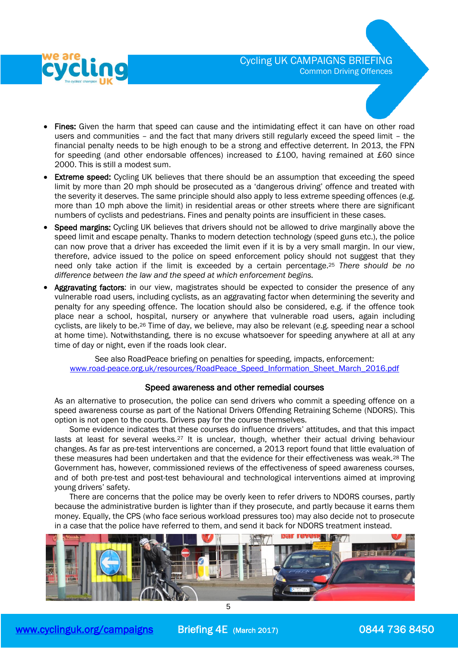

- Fines: Given the harm that speed can cause and the intimidating effect it can have on other road users and communities – and the fact that many drivers still regularly exceed the speed limit – the financial penalty needs to be high enough to be a strong and effective deterrent. In 2013, the FPN for speeding (and other endorsable offences) increased to £100, having remained at £60 since 2000. This is still a modest sum.
- Extreme speed: Cycling UK believes that there should be an assumption that exceeding the speed limit by more than 20 mph should be prosecuted as a 'dangerous driving' offence and treated with the severity it deserves. The same principle should also apply to less extreme speeding offences (e.g. more than 10 mph above the limit) in residential areas or other streets where there are significant numbers of cyclists and pedestrians. Fines and penalty points are insufficient in these cases.
- Speed margins: Cycling UK believes that drivers should not be allowed to drive marginally above the speed limit and escape penalty. Thanks to modern detection technology (speed guns etc.), the police can now prove that a driver has exceeded the limit even if it is by a very small margin. In our view, therefore, advice issued to the police on speed enforcement policy should not suggest that they need only take action if the limit is exceeded by a certain percentage.<sup>25</sup> *There should be no difference between the law and the speed at which enforcement begins.*
- Aggravating factors: in our view, magistrates should be expected to consider the presence of any vulnerable road users, including cyclists, as an aggravating factor when determining the severity and penalty for any speeding offence. The location should also be considered, e.g. if the offence took place near a school, hospital, nursery or anywhere that vulnerable road users, again including cyclists, are likely to be.<sup>26</sup> Time of day, we believe, may also be relevant (e.g. speeding near a school at home time). Notwithstanding, there is no excuse whatsoever for speeding anywhere at all at any time of day or night, even if the roads look clear.

See also RoadPeace briefing on penalties for speeding, impacts, enforcement: [www.road-peace.org.uk/resources/RoadPeace\\_Speed\\_Information\\_Sheet\\_March\\_2016.pdf](http://www.road-peace.org.uk/resources/RoadPeace_Speed_Information_Sheet_March_2016.pdf)

## Speed awareness and other remedial courses

As an alternative to prosecution, the police can send drivers who commit a speeding offence on a speed awareness course as part of the National Drivers Offending Retraining Scheme (NDORS). This option is not open to the courts. Drivers pay for the course themselves.

 Some evidence indicates that these courses do influence drivers' attitudes, and that this impact lasts at least for several weeks.<sup>27</sup> It is unclear, though, whether their actual driving behaviour changes. As far as pre-test interventions are concerned, a 2013 report found that little evaluation of these measures had been undertaken and that the evidence for their effectiveness was weak.<sup>28</sup> The Government has, however, commissioned reviews of the effectiveness of speed awareness courses, and of both pre-test and post-test behavioural and technological interventions aimed at improving young drivers' safety.

 There are concerns that the police may be overly keen to refer drivers to NDORS courses, partly because the administrative burden is lighter than if they prosecute, and partly because it earns them money. Equally, the CPS (who face serious workload pressures too) may also decide not to prosecute in a case that the police have referred to them, and send it back for NDORS treatment instead.

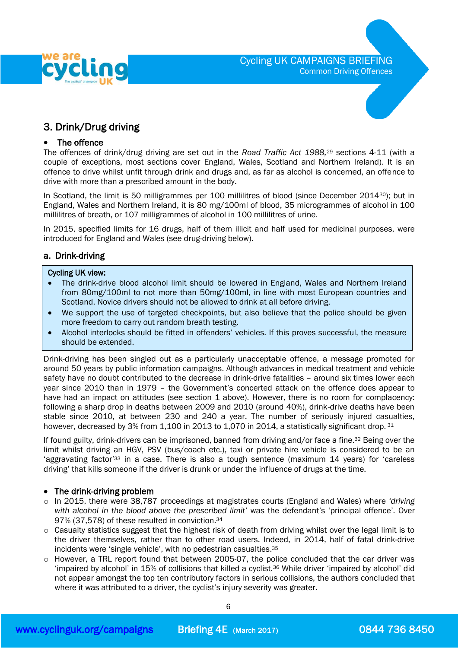



# 3. Drink/Drug driving

## • The offence

The offences of drink/drug driving are set out in the *Road Traffic Act 1988,* <sup>29</sup> sections 4-11 (with a couple of exceptions, most sections cover England, Wales, Scotland and Northern Ireland). It is an offence to drive whilst unfit through drink and drugs and, as far as alcohol is concerned, an offence to drive with more than a prescribed amount in the body.

In Scotland, the limit is 50 milligrammes per 100 millilitres of blood (since December 2014<sup>30</sup>); but in England, Wales and Northern Ireland, it is 80 mg/100ml of blood, 35 microgrammes of alcohol in 100 millilitres of breath, or 107 milligrammes of alcohol in 100 millilitres of urine.

In 2015, specified limits for 16 drugs, half of them illicit and half used for medicinal purposes, were introduced for England and Wales (see drug-driving below).

## a. Drink-driving

# Cycling UK view:

- The drink-drive blood alcohol limit should be lowered in England, Wales and Northern Ireland from 80mg/100ml to not more than 50mg/100ml, in line with most European countries and Scotland. Novice drivers should not be allowed to drink at all before driving.
- We support the use of targeted checkpoints, but also believe that the police should be given more freedom to carry out random breath testing.
- Alcohol interlocks should be fitted in offenders' vehicles. If this proves successful, the measure should be extended.

Drink-driving has been singled out as a particularly unacceptable offence, a message promoted for around 50 years by public information campaigns. Although advances in medical treatment and vehicle safety have no doubt contributed to the decrease in drink-drive fatalities – around six times lower each year since 2010 than in 1979 – the Government's concerted attack on the offence does appear to have had an impact on attitudes (see section 1 above). However, there is no room for complacency: following a sharp drop in deaths between 2009 and 2010 (around 40%), drink-drive deaths have been stable since 2010, at between 230 and 240 a year. The number of seriously injured casualties, however, decreased by 3% from 1,100 in 2013 to 1,070 in 2014, a statistically significant drop. 31

If found guilty, drink-drivers can be imprisoned, banned from driving and/or face a fine.<sup>32</sup> Being over the limit whilst driving an HGV, PSV (bus/coach etc.), taxi or private hire vehicle is considered to be an 'aggravating factor'<sup>33</sup> in a case. There is also a tough sentence (maximum 14 years) for 'careless driving' that kills someone if the driver is drunk or under the influence of drugs at the time.

## • The drink-driving problem

- o In 2015, there were 38,787 proceedings at magistrates courts (England and Wales) where *'driving with alcohol in the blood above the prescribed limit'* was the defendant's 'principal offence'. Over 97% (37,578) of these resulted in conviction.<sup>34</sup>
- o Casualty statistics suggest that the highest risk of death from driving whilst over the legal limit is to the driver themselves, rather than to other road users. Indeed, in 2014, half of fatal drink-drive incidents were 'single vehicle', with no pedestrian casualties. 35
- o However, a TRL report found that between 2005-07, the police concluded that the car driver was 'impaired by alcohol' in 15% of collisions that killed a cyclist.<sup>36</sup> While driver 'impaired by alcohol' did not appear amongst the top ten contributory factors in serious collisions, the authors concluded that where it was attributed to a driver, the cyclist's injury severity was greater.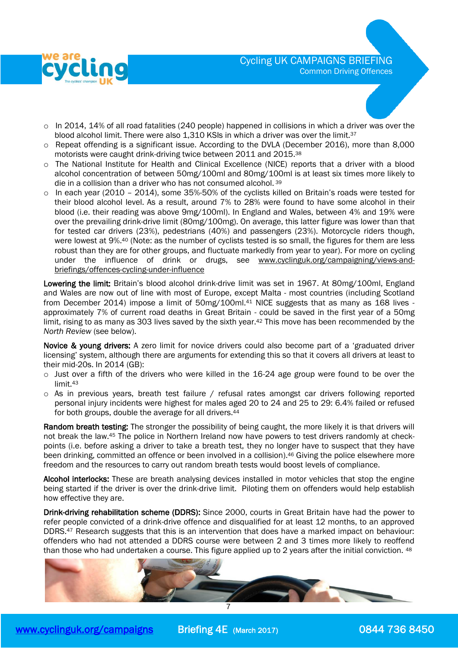

- $\circ$  In 2014, 14% of all road fatalities (240 people) happened in collisions in which a driver was over the blood alcohol limit. There were also 1,310 KSIs in which a driver was over the limit.<sup>37</sup>
- o Repeat offending is a significant issue. According to the DVLA (December 2016), more than 8,000 motorists were caught drink-driving twice between 2011 and 2015. 38
- o The National Institute for Health and Clinical Excellence (NICE) reports that a driver with a blood alcohol concentration of between 50mg/100ml and 80mg/100ml is at least six times more likely to die in a collision than a driver who has not consumed alcohol. <sup>39</sup>
- $\circ$  In each year (2010 2014), some 35%-50% of the cyclists killed on Britain's roads were tested for their blood alcohol level. As a result, around 7% to 28% were found to have some alcohol in their blood (i.e. their reading was above 9mg/100ml). In England and Wales, between 4% and 19% were over the prevailing drink-drive limit (80mg/100mg). On average, this latter figure was lower than that for tested car drivers (23%), pedestrians (40%) and passengers (23%). Motorcycle riders though, were lowest at 9%. <sup>40</sup> (Note: as the number of cyclists tested is so small, the figures for them are less robust than they are for other groups, and fluctuate markedly from year to year). For more on cycling under the influence of drink or drugs, see [www.cyclinguk.org/campaigning/views-and](http://www.ctc.org.uk/campaigning/views-and-briefings/offences-cycling-under-influence)[briefings/offences-cycling-under-influence](http://www.ctc.org.uk/campaigning/views-and-briefings/offences-cycling-under-influence)

Lowering the limit: Britain's blood alcohol drink-drive limit was set in 1967. At 80mg/100ml, England and Wales are now out of line with most of Europe, except Malta - most countries (including Scotland from December 2014) impose a limit of 50mg/100ml.<sup>41</sup> NICE suggests that as many as 168 lives approximately 7% of current road deaths in Great Britain - could be saved in the first year of a 50mg limit, rising to as many as 303 lives saved by the sixth year.<sup>42</sup> This move has been recommended by the *North Review* (see below).

Novice & young drivers: A zero limit for novice drivers could also become part of a 'graduated driver licensing' system, although there are arguments for extending this so that it covers all drivers at least to their mid-20s. In 2014 (GB):

- o Just over a fifth of the drivers who were killed in the 16-24 age group were found to be over the limit. 43
- o As in previous years, breath test failure / refusal rates amongst car drivers following reported personal injury incidents were highest for males aged 20 to 24 and 25 to 29: 6.4% failed or refused for both groups, double the average for all drivers.<sup>44</sup>

Random breath testing: The stronger the possibility of being caught, the more likely it is that drivers will not break the law.<sup>45</sup> The police in Northern Ireland now have powers to test drivers randomly at checkpoints (i.e. before asking a driver to take a breath test, they no longer have to suspect that they have been drinking, committed an offence or been involved in a collision).<sup>46</sup> Giving the police elsewhere more freedom and the resources to carry out random breath tests would boost levels of compliance.

Alcohol interlocks: These are breath analysing devices installed in motor vehicles that stop the engine being started if the driver is over the drink-drive limit. Piloting them on offenders would help establish how effective they are.

Drink-driving rehabilitation scheme (DDRS): Since 2000, courts in Great Britain have had the power to refer people convicted of a drink-drive offence and disqualified for at least 12 months, to an approved DDRS.<sup>47</sup> Research suggests that this is an intervention that does have a marked impact on behaviour: offenders who had not attended a DDRS course were between 2 and 3 times more likely to reoffend than those who had undertaken a course. This figure applied up to 2 years after the initial conviction. <sup>48</sup>

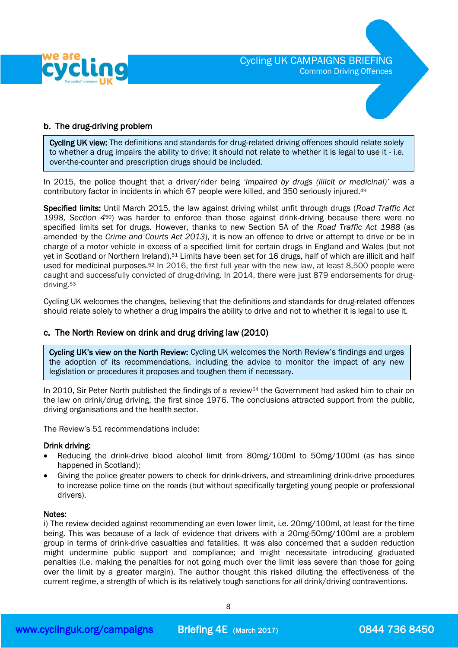

## <span id="page-7-0"></span>b. The drug-driving problem

Cycling UK view: The definitions and standards for drug-related driving offences should relate solely to whether a drug impairs the ability to drive; it should not relate to whether it is legal to use it - i.e. over-the-counter and prescription drugs should be included.

In 2015, the police thought that a driver/rider being *'impaired by drugs (illicit or medicinal)'* was a contributory factor in incidents in which 67 people were killed, and 350 seriously injured.<sup>49</sup>

Specified limits: Until March 2015, the law against driving whilst unfit through drugs (*Road Traffic Act 1998, Section 4*50) was harder to enforce than those against drink-driving because there were no specified limits set for drugs. However, thanks to new Section 5A of the *Road Traffic Act 1988* (as amended by the *Crime and Courts Act 2013*), it is now an offence to drive or attempt to drive or be in charge of a motor vehicle in excess of a specified limit for certain drugs in England and Wales (but not yet in Scotland or Northern Ireland).<sup>51</sup> Limits have been set for 16 drugs, half of which are illicit and half used for medicinal purposes.<sup>52</sup> In 2016, the first full year with the new law, at least 8,500 people were caught and successfully convicted of drug-driving. In 2014, there were just 879 endorsements for drugdriving. 53

Cycling UK welcomes the changes, believing that the definitions and standards for drug-related offences should relate solely to whether a drug impairs the ability to drive and not to whether it is legal to use it.

### c. The North Review on drink and drug driving law (2010)

Cycling UK's view on the North Review: Cycling UK welcomes the North Review's findings and urges the adoption of its recommendations, including the advice to monitor the impact of any new legislation or procedures it proposes and toughen them if necessary.

In 2010, Sir Peter North published the findings of a review<sup>54</sup> the Government had asked him to chair on the law on drink/drug driving, the first since 1976. The conclusions attracted support from the public, driving organisations and the health sector.

The Review's 51 recommendations include:

#### Drink driving:

- Reducing the drink-drive blood alcohol limit from 80mg/100ml to 50mg/100ml (as has since happened in Scotland);
- Giving the police greater powers to check for drink-drivers, and streamlining drink-drive procedures to increase police time on the roads (but without specifically targeting young people or professional drivers).

#### Notes:

i) The review decided against recommending an even lower limit, i.e. 20mg/100ml, at least for the time being. This was because of a lack of evidence that drivers with a 20mg-50mg/100ml are a problem group in terms of drink-drive casualties and fatalities. It was also concerned that a sudden reduction might undermine public support and compliance; and might necessitate introducing graduated penalties (i.e. making the penalties for not going much over the limit less severe than those for going over the limit by a greater margin). The author thought this risked diluting the effectiveness of the current regime, a strength of which is its relatively tough sanctions for *all* drink/driving contraventions.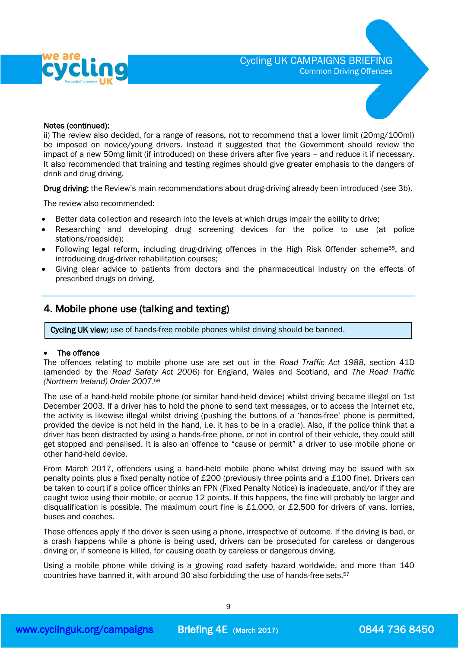



#### Notes (continued):

ii) The review also decided, for a range of reasons, not to recommend that a lower limit (20mg/100ml) be imposed on novice/young drivers. Instead it suggested that the Government should review the impact of a new 50mg limit (if introduced) on these drivers after five years – and reduce it if necessary. It also recommended that training and testing regimes should give greater emphasis to the dangers of drink and drug driving.

Drug driving: the Review's main recommendations about drug-driving already been introduced (see [3b\)](#page-7-0).

The review also recommended:

- Better data collection and research into the levels at which drugs impair the ability to drive;
- Researching and developing drug screening devices for the police to use (at police stations/roadside);
- Following legal reform, including drug-driving offences in the High Risk Offender scheme55, and introducing drug-driver rehabilitation courses;
- Giving clear advice to patients from doctors and the pharmaceutical industry on the effects of prescribed drugs on driving.

# 4. Mobile phone use (talking and texting)

Cycling UK view: use of hands-free mobile phones whilst driving should be banned.

### • The offence

The offences relating to mobile phone use are set out in the *Road Traffic Act 1988*, section 41D (amended by the *Road Safety Act 2006*) for England, Wales and Scotland, and *The Road Traffic (Northern Ireland) Order 2007*. 56

The use of a hand-held mobile phone (or similar hand-held device) whilst driving became illegal on 1st December 2003. If a driver has to hold the phone to send text messages, or to access the Internet etc, the activity is likewise illegal whilst driving (pushing the buttons of a 'hands-free' phone is permitted, provided the device is not held in the hand, i.e. it has to be in a cradle). Also, if the police think that a driver has been distracted by using a hands-free phone, or not in control of their vehicle, they could still get stopped and penalised. It is also an offence to "cause or permit" a driver to use mobile phone or other hand-held device.

From March 2017, offenders using a hand-held mobile phone whilst driving may be issued with six penalty points plus a fixed penalty notice of £200 (previously three points and a £100 fine). Drivers can be taken to court if a police officer thinks an FPN (Fixed Penalty Notice) is inadequate, and/or if they are caught twice using their mobile, or accrue 12 points. If this happens, the fine will probably be larger and disqualification is possible. The maximum court fine is £1,000, or £2,500 for drivers of vans, lorries, buses and coaches.

These offences apply if the driver is seen using a phone, irrespective of outcome. If the driving is bad, or a crash happens while a phone is being used, drivers can be prosecuted for careless or dangerous driving or, if someone is killed, for causing death by careless or dangerous driving.

Using a mobile phone while driving is a growing road safety hazard worldwide, and more than 140 countries have banned it, with around 30 also forbidding the use of hands-free sets.<sup>57</sup>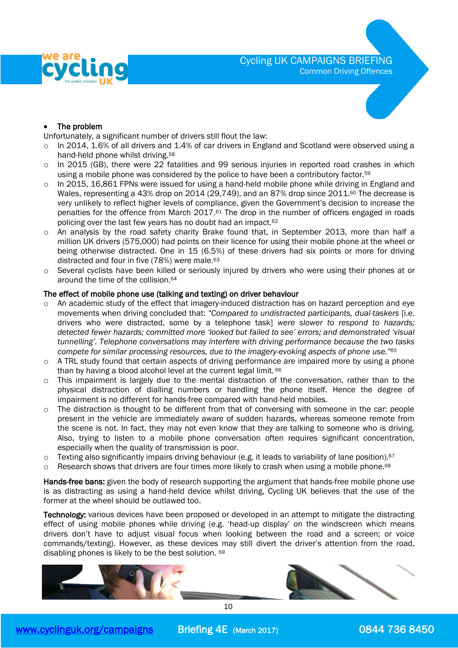

## The problem

Unfortunately, a significant number of drivers still flout the law:

- o In 2014, 1.6% of all drivers and 1.4% of car drivers in England and Scotland were observed using a hand-held phone whilst driving.<sup>58</sup>
- $\circ$  In 2015 (GB), there were 22 fatalities and 99 serious injuries in reported road crashes in which using a mobile phone was considered by the police to have been a contributory factor.<sup>59</sup>
- $\circ$  In 2015, 16,861 FPNs were issued for using a hand-held mobile phone while driving in England and Wales, representing a 43% drop on 2014 (29,749), and an 87% drop since 2011.<sup>60</sup> The decrease is very unlikely to reflect higher levels of compliance, given the Government's decision to increase the penalties for the offence from March 2017.<sup>61</sup> The drop in the number of officers engaged in roads policing over the last few years has no doubt had an impact.<sup>62</sup>
- o An analysis by the road safety charity Brake found that, in September 2013, more than half a million UK drivers (575,000) had points on their licence for using their mobile phone at the wheel or being otherwise distracted. One in 15 (6.5%) of these drivers had six points or more for driving distracted and four in five (78%) were male.<sup>63</sup>
- o Several cyclists have been killed or seriously injured by drivers who were using their phones at or around the time of the collision.<sup>64</sup>

### The effect of mobile phone use (talking and texting) on driver behaviour

- $\circ$  An academic study of the effect that imagery-induced distraction has on hazard perception and eye movements when driving concluded that: *"Compared to undistracted participants, dual-taskers* [i.e. drivers who were distracted, some by a telephone task] *were slower to respond to hazards; detected fewer hazards; committed more 'looked but failed to see' errors; and demonstrated 'visual tunnelling'. Telephone conversations may interfere with driving performance because the two tasks compete for similar processing resources, due to the imagery-evoking aspects of phone use."<sup>65</sup>*
- o A TRL study found that certain aspects of driving performance are impaired more by using a phone than by having a blood alcohol level at the current legal limit. <sup>66</sup>
- $\circ$  This impairment is largely due to the mental distraction of the conversation, rather than to the physical distraction of dialling numbers or handling the phone itself. Hence the degree of impairment is no different for hands-free compared with hand-held mobiles.
- o The distraction is thought to be different from that of conversing with someone in the car: people present in the vehicle are immediately aware of sudden hazards, whereas someone remote from the scene is not. In fact, they may not even know that they are talking to someone who is driving. Also, trying to listen to a mobile phone conversation often requires significant concentration, especially when the quality of transmission is poor.
- o Texting also significantly impairs driving behaviour (e.g. it leads to variability of lane position).<sup>67</sup>
- $\circ$  Research shows that drivers are four times more likely to crash when using a mobile phone.<sup>68</sup>

Hands-free bans: given the body of research supporting the argument that hands-free mobile phone use is as distracting as using a hand-held device whilst driving, Cycling UK believes that the use of the former at the wheel should be outlawed too.

Technology: various devices have been proposed or developed in an attempt to mitigate the distracting effect of using mobile phones while driving (e.g. 'head-up display' on the windscreen which means drivers don't have to adjust visual focus when looking between the road and a screen; or voice commands/texting). However, as these devices may still divert the driver's attention from the road, disabling phones is likely to be the best solution. 69

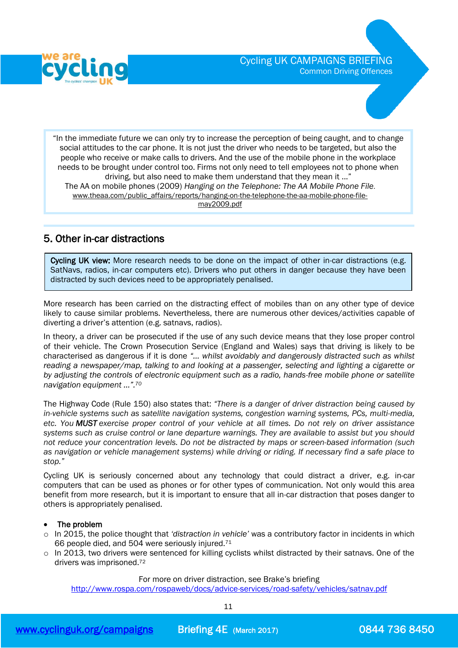

"In the immediate future we can only try to increase the perception of being caught, and to change social attitudes to the car phone. It is not just the driver who needs to be targeted, but also the people who receive or make calls to drivers. And the use of the mobile phone in the workplace needs to be brought under control too. Firms not only need to tell employees not to phone when driving, but also need to make them understand that they mean it ..." The AA on mobile phones (2009) *Hanging on the Telephone: The AA Mobile Phone File*. [www.theaa.com/public\\_affairs/reports/hanging-on-the-telephone-the-aa-mobile-phone-file](http://www.theaa.com/public_affairs/reports/hanging-on-the-telephone-the-aa-mobile-phone-file-may2009.pdf)[may2009.pdf](http://www.theaa.com/public_affairs/reports/hanging-on-the-telephone-the-aa-mobile-phone-file-may2009.pdf)

# 5. Other in-car distractions

I

Cycling UK view: More research needs to be done on the impact of other in-car distractions (e.g. SatNavs, radios, in-car computers etc). Drivers who put others in danger because they have been distracted by such devices need to be appropriately penalised.

More research has been carried on the distracting effect of mobiles than on any other type of device likely to cause similar problems. Nevertheless, there are numerous other devices/activities capable of diverting a driver's attention (e.g. satnavs, radios).

In theory, a driver can be prosecuted if the use of any such device means that they lose proper control of their vehicle. The Crown Prosecution Service (England and Wales) says that driving is likely to be characterised as dangerous if it is done *"… whilst avoidably and dangerously distracted such as whilst reading a newspaper/map, talking to and looking at a passenger, selecting and lighting a cigarette or by adjusting the controls of electronic equipment such as a radio, hands-free mobile phone or satellite navigation equipment …".<sup>70</sup>*

The Highway Code (Rule 150) also states that: *"There is a danger of driver distraction being caused by in-vehicle systems such as satellite navigation systems, congestion warning systems, PCs, multi-media, etc. You MUST exercise proper control of your vehicle at all times. Do not rely on driver assistance systems such as cruise control or lane departure warnings. They are available to assist but you should not reduce your concentration levels. Do not be distracted by maps or screen-based information (such as navigation or vehicle management systems) while driving or riding. If necessary find a safe place to stop."* 

Cycling UK is seriously concerned about any technology that could distract a driver, e.g. in-car computers that can be used as phones or for other types of communication. Not only would this area benefit from more research, but it is important to ensure that all in-car distraction that poses danger to others is appropriately penalised.

## • The problem

- o In 2015, the police thought that *'distraction in vehicle'* was a contributory factor in incidents in which 66 people died, and 504 were seriously injured.<sup>71</sup>
- $\circ$  In 2013, two drivers were sentenced for killing cyclists whilst distracted by their satnavs. One of the drivers was imprisoned.<sup>72</sup>

### For more on driver distraction, see Brake's briefing

<http://www.rospa.com/rospaweb/docs/advice-services/road-safety/vehicles/satnav.pdf>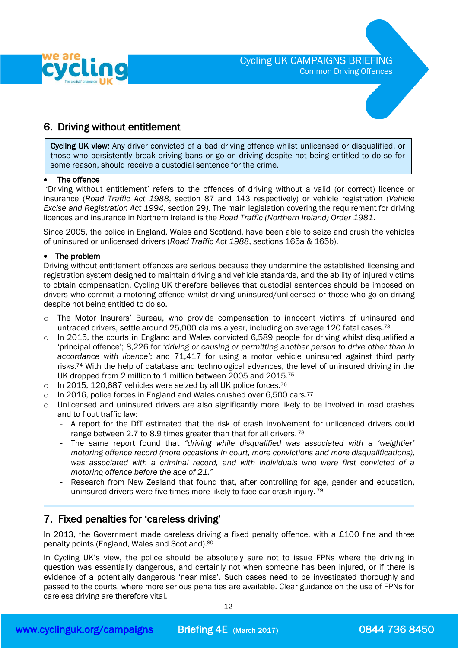

# 6. Driving without entitlement

Cycling UK view: Any driver convicted of a bad driving offence whilst unlicensed or disqualified, or those who persistently break driving bans or go on driving despite not being entitled to do so for some reason, should receive a custodial sentence for the crime.

#### The offence

I I

'Driving without entitlement' refers to the offences of driving without a valid (or correct) licence or insurance (*Road Traffic Act 1988*, section 87 and 143 respectively) or vehicle registration (*Vehicle Excise and Registration Act 1994,* section 29*).* The main legislation covering the requirement for driving licences and insurance in Northern Ireland is the *Road Traffic (Northern Ireland) Order 1981*.

Since 2005, the police in England, Wales and Scotland, have been able to seize and crush the vehicles of uninsured or unlicensed drivers (*Road Traffic Act 1988*, sections 165a & 165b).

### • The problem

Driving without entitlement offences are serious because they undermine the established licensing and registration system designed to maintain driving and vehicle standards, and the ability of injured victims to obtain compensation. Cycling UK therefore believes that custodial sentences should be imposed on drivers who commit a motoring offence whilst driving uninsured/unlicensed or those who go on driving despite not being entitled to do so.

- o The Motor Insurers' Bureau, who provide compensation to innocent victims of uninsured and untraced drivers, settle around 25,000 claims a year, including on average 120 fatal cases.<sup>73</sup>
- o In 2015, the courts in England and Wales convicted 6,589 people for driving whilst disqualified a 'principal offence'; 8,226 for '*driving or causing or permitting another person to drive other than in accordance with licence'*; and 71,417 for using a motor vehicle uninsured against third party risks.<sup>74</sup> With the help of database and technological advances, the level of uninsured driving in the UK dropped from 2 million to 1 million between 2005 and 2015.<sup>75</sup>
- o In 2015, 120,687 vehicles were seized by all UK police forces.<sup>76</sup>
- $\circ$  In 2016, police forces in England and Wales crushed over 6,500 cars.<sup>77</sup>
- o Unlicensed and uninsured drivers are also significantly more likely to be involved in road crashes and to flout traffic law:
	- A report for the DfT estimated that the risk of crash involvement for unlicenced drivers could range between 2.7 to 8.9 times greater than that for all drivers.<sup>78</sup>
	- The same report found that *"driving while disqualified was associated with a 'weightier' motoring offence record (more occasions in court, more convictions and more disqualifications), was associated with a criminal record, and with individuals who were first convicted of a motoring offence before the age of 21."*
	- Research from New Zealand that found that, after controlling for age, gender and education, uninsured drivers were five times more likely to face car crash injury.<sup>79</sup>

# 7. Fixed penalties for 'careless driving'

In 2013, the Government made careless driving a fixed penalty offence, with a £100 fine and three penalty points (England, Wales and Scotland).<sup>80</sup>

In Cycling UK's view, the police should be absolutely sure not to issue FPNs where the driving in question was essentially dangerous, and certainly not when someone has been injured, or if there is evidence of a potentially dangerous 'near miss'. Such cases need to be investigated thoroughly and passed to the courts, where more serious penalties are available. Clear guidance on the use of FPNs for careless driving are therefore vital.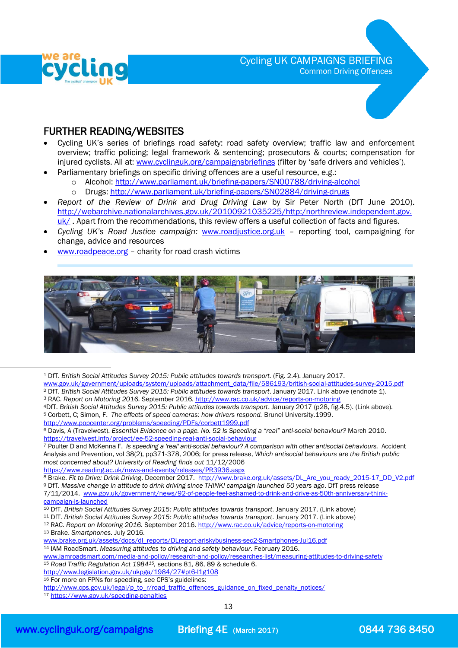

# Cycling UK CAMPAIGNS BRIEFING Common Driving Offences



# FURTHER READING/WEBSITES

- Cycling UK's series of briefings road safety: road safety overview; traffic law and enforcement overview; traffic policing; legal framework & sentencing; prosecutors & courts; compensation for injured cyclists. All at: [www.cyclinguk.org/campaignsbriefings](http://www.ctc.org.uk/campaignsbriefings) (filter by 'safe drivers and vehicles').
	- Parliamentary briefings on specific driving offences are a useful resource, e.g.:
		- o Alcohol[: http://www.parliament.uk/briefing-papers/SN00788/driving-alcohol](http://www.parliament.uk/briefing-papers/SN00788/driving-alcohol)
		- o Drugs:<http://www.parliament.uk/briefing-papers/SN02884/driving-drugs>
- *Report of the Review of Drink and Drug Driving Law* by Sir Peter North (DfT June 2010). [http://webarchive.nationalarchives.gov.uk/20100921035225/http:/northreview.independent.gov.](http://webarchive.nationalarchives.gov.uk/20100921035225/http:/northreview.independent.gov.uk/)  $uk/$  $uk/$  $uk/$ . Apart from the recommendations, this review offers a useful collection of facts and figures.</u>
- *Cycling UK's Road Justice campaign:* [www.roadjustice.org.uk](http://www.roadjustice.org.uk/) reporting tool, campaigning for change, advice and resources
- [www.roadpeace.org](http://www.roadpeace.org/) charity for road crash victims



<sup>1</sup> DfT. *British Social Attitudes Survey 2015: Public attitudes towards transport.* (Fig. 2.4). January 2017. [www.gov.uk/government/uploads/system/uploads/attachment\\_data/file/586193/british-social-attitudes-survey-2015.pdf](http://www.gov.uk/government/uploads/system/uploads/attachment_data/file/586193/british-social-attitudes-survey-2015.pdf)

- <sup>2</sup> DfT. *British Social Attitudes Survey 2015: Public attitudes towards transport*. January 2017. Link above (endnote 1). <sup>3</sup> RAC. *Report on Motoring 2016.* September 2016*.* <http://www.rac.co.uk/advice/reports-on-motoring>
- <sup>4</sup>DfT. *British Social Attitudes Survey 2015: Public attitudes towards transport*. January 2017 (p28, fig.4.5). (Link above). <sup>5</sup> Corbett, C; Simon, F. *The effects of speed cameras: how drivers respond.* Brunel University.1999.

<http://www.popcenter.org/problems/speeding/PDFs/corbett1999.pdf>

<sup>6</sup> Davis, A (Travelwest). *Essential Evidence on a page. No. 52 Is Speeding a "real" anti-social behaviour?* March 2010. <https://travelwest.info/project/ee-52-speeding-real-anti-social-behaviour>

<sup>7</sup> Poulter D and McKenna F. *Is speeding a 'real' anti-social behaviour? A comparison with other antisocial behaviours.* Accident Analysis and Prevention, vol 38(2), pp371-378, 2006; for press release, *Which antisocial behaviours are the British public most concerned about? University of Reading finds out* 11/12/2006

<https://www.reading.ac.uk/news-and-events/releases/PR3936.aspx>

8 Brake. Fit to Drive: Drink Driving. December 2017. [http://www.brake.org.uk/assets/DL\\_Are\\_you\\_ready\\_2015-17\\_DD\\_V2.pdf](http://www.brake.org.uk/assets/DL_Are_you_ready_2015-17_DD_V2.pdf) <sup>9</sup> DfT. *Massive change in attitude to drink driving since THINK! campaign launched 50 years ago*. DfT press release 7/11/2014. [www.gov.uk/government/news/92-of-people-feel-ashamed-to-drink-and-drive-as-50th-anniversary-think](http://www.gov.uk/government/news/92-of-people-feel-ashamed-to-drink-and-drive-as-50th-anniversary-think-campaign-is-launched)[campaign-is-launched](http://www.gov.uk/government/news/92-of-people-feel-ashamed-to-drink-and-drive-as-50th-anniversary-think-campaign-is-launched)

<sup>11</sup> DfT. *British Social Attitudes Survey 2015: Public attitudes towards transport*. January 2017. (Link above)

<sup>12</sup> RAC. *Report on Motoring 2016.* September 2016*.* <http://www.rac.co.uk/advice/reports-on-motoring> <sup>13</sup> Brake. *Smartphones.* July 2016.

- [www.brake.org.uk/assets/docs/dl\\_reports/DLreport-ariskybusiness-sec2-Smartphones-Jul16.pdf](http://www.brake.org.uk/assets/docs/dl_reports/DLreport-ariskybusiness-sec2-Smartphones-Jul16.pdf)
- <sup>14</sup> IAM RoadSmart. *Measuring attitudes to driving and safety behaviour*. February 2016.

[www.iamroadsmart.com/media-and-policy/research-and-policy/researches-list/measuring-attitudes-to-driving-safety](http://www.iamroadsmart.com/media-and-policy/research-and-policy/researches-list/measuring-attitudes-to-driving-safety) <sup>15</sup> *Road Traffic Regulation Act 198415,* sections 81, 86, 89 & schedule 6.

<http://www.legislation.gov.uk/ukpga/1984/27#pt6-l1g108>

<sup>16</sup> For more on FPNs for speeding, see CPS's guidelines:

 $\overline{a}$ 

<sup>10</sup> DfT. *British Social Attitudes Survey 2015: Public attitudes towards transport*. January 2017. (Link above)

[http://www.cps.gov.uk/legal/p\\_to\\_r/road\\_traffic\\_offences\\_guidance\\_on\\_fixed\\_penalty\\_notices/](http://www.cps.gov.uk/legal/p_to_r/road_traffic_offences_guidance_on_fixed_penalty_notices/)

<sup>17</sup> <https://www.gov.uk/speeding-penalties>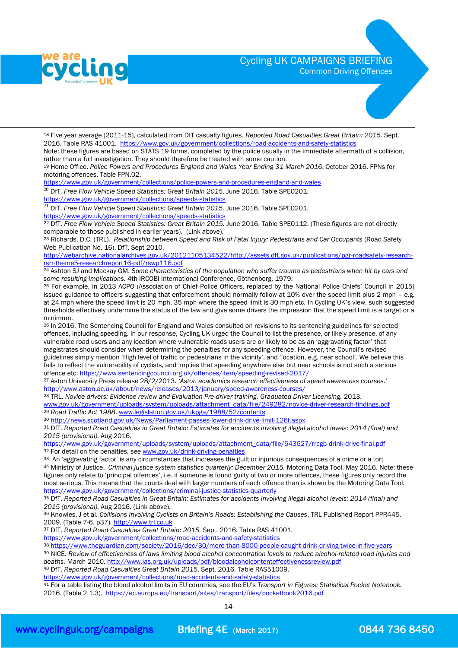

 $\overline{a}$ 

# Cycling UK CAMPAIGNS BRIEFING

Common Driving Offences



<sup>18</sup> Five year average (2011-15), calculated from DfT casualty figures. *Reported Road Casualties Great Britain: 2015.* Sept. 2016. Table RAS 41001. <https://www.gov.uk/government/collections/road-accidents-and-safety-statistics>

Note: these figures are based on STATS 19 forms, completed by the police usually in the immediate aftermath of a collision, rather than a full investigation. They should therefore be treated with some caution.

<sup>19</sup> Home Office. *Police Powers and Procedures England and Wales Year Ending 31 March 2016*. October 2016. FPNs for motoring offences, Table FPN.02.

<https://www.gov.uk/government/collections/police-powers-and-procedures-england-and-wales>

<sup>20</sup> DfT. Free Flow Vehicle Speed Statistics: Great Britain 2015. June 2016. Table SPE0201. <https://www.gov.uk/government/collections/speeds-statistics>

<sup>21</sup> DfT. Free Flow Vehicle Speed Statistics: Great Britain 2015. June 2016. Table SPE0201.

<https://www.gov.uk/government/collections/speeds-statistics>

<sup>22</sup> DfT. Free Flow Vehicle Speed Statistics: Great Britain 2015. June 2016. Table SPE0112. (These figures are not directly comparable to those published in earlier years). (Link above).

<sup>23</sup> Richards, D.C. (TRL). *Relationship between Speed and Risk of Fatal Injury: Pedestrians and Car Occupants* (Road Safety Web Publication No. 16). DfT. Sept 2010.

[http://webarchive.nationalarchives.gov.uk/20121105134522/http://assets.dft.gov.uk/publications/pgr-roadsafety-research](http://webarchive.nationalarchives.gov.uk/20121105134522/http:/assets.dft.gov.uk/publications/pgr-roadsafety-research-rsrr-theme5-researchreport16-pdf/rswp116.pdf)[rsrr-theme5-researchreport16-pdf/rswp116.pdf](http://webarchive.nationalarchives.gov.uk/20121105134522/http:/assets.dft.gov.uk/publications/pgr-roadsafety-research-rsrr-theme5-researchreport16-pdf/rswp116.pdf)

<sup>24</sup> Ashton SJ and Mackay GM. *Some characteristics of the population who suffer trauma as pedestrians when hit by cars and some resulting implications.* 4th IRCOBI International Conference, Göthenborg. 1979.

<sup>25</sup> For example, in 2013 ACPO (Association of Chief Police Officers, replaced by the National Police Chiefs' Council in 2015) issued guidance to officers suggesting that enforcement should normally follow at 10% over the speed limit plus 2 mph – e.g. at 24 mph where the speed limit is 20 mph, 35 mph where the speed limit is 30 mph etc. In Cycling UK's view, such suggested thresholds effectively undermine the status of the law and give some drivers the impression that the speed limit is a target or a minimum.

<sup>26</sup> In 2016, The Sentencing Council for England and Wales consulted on revisions to its sentencing guidelines for selected offences, including speeding. In our response, Cycling UK urged the Council to list the presence, or likely presence, of any vulnerable road users and any location where vulnerable roads users are or likely to be as an 'aggravating factor' that magistrates should consider when determining the penalties for any speeding offence. However, the Council's revised guidelines simply mention 'High level of traffic or pedestrians in the vicinity', and 'location, e.g. near school'. We believe this fails to reflect the vulnerability of cyclists, and implies that speeding anywhere else but near schools is not such a serious offence etc. <https://www.sentencingcouncil.org.uk/offences/item/speeding-revised-2017/>

<sup>27</sup> Aston University Press release 28/2/2013*. 'Aston academics research effectiveness of speed awareness courses.*' <http://www.aston.ac.uk/about/news/releases/2013/january/speed-awareness-courses/>

<sup>28</sup> TRL. *Novice drivers: Evidence review and Evaluation Pre-driver training, Graduated Driver Licensing.* 2013.

[www.gov.uk/government/uploads/system/uploads/attachment\\_data/file/249282/novice-driver-research-findings.pdf](http://www.gov.uk/government/uploads/system/uploads/attachment_data/file/249282/novice-driver-research-findings.pdf) <sup>29</sup> *Road Traffic Act 1988*[. www.legislation.gov.uk/ukpga/1988/52/contents](http://www.legislation.gov.uk/ukpga/1988/52/contents)

<sup>30</sup> <http://news.scotland.gov.uk/News/Parliament-passes-lower-drink-drive-limit-126f.aspx>

<sup>31</sup> DfT. *Reported Road Casualties in Great Britain: Estimates for accidents involving illegal alcohol levels: 2014 (final) and 2015 (provisional).* Aug 2016.

[https://www.gov.uk/government/uploads/system/uploads/attachment\\_data/file/543627/rrcgb-drink-drive-final.pdf](https://www.gov.uk/government/uploads/system/uploads/attachment_data/file/543627/rrcgb-drink-drive-final.pdf) <sup>32</sup> For detail on the penalties, se[e www.gov.uk/drink-driving-penalties](http://www.gov.uk/drink-driving-penalties)

33 An 'aggravating factor' is any circumstances that increases the guilt or injurious consequences of a crime or a tort <sup>34</sup> Ministry of Justice. *Criminal justice system statistics quarterly: December 2015.* Motoring Data Tool. May 2016. Note: these figures only relate to 'principal offences', i.e. if someone is found guilty of two or more offences, these figures only record the most serious. This means that the courts deal with larger numbers of each offence than is shown by the Motoring Data Tool. <https://www.gov.uk/government/collections/criminal-justice-statistics-quarterly>

<sup>35</sup> DfT. *Reported Road Casualties in Great Britain: Estimates for accidents involving illegal alcohol levels: 2014 (final) and 2015 (provisional).* Aug 2016. (Link above).

<sup>36</sup> Knowles, J et al. *Collisions Involving Cyclists on Britain's Roads: Establishing the Causes*. TRL Published Report PPR445. 2009. (Table 7-6, p37)[. http://www.trl.co.uk](http://www.trl.co.uk/)

<sup>37</sup> DfT. *Reported Road Casualties Great Britain: 2015.* Sept. 2016. Table RAS 41001.

<https://www.gov.uk/government/collections/road-accidents-and-safety-statistics>

<sup>38</sup> <https://www.theguardian.com/society/2016/dec/30/more-than-8000-people-caught-drink-driving-twice-in-five-years> <sup>39</sup> NICE. *Review of effectiveness of laws limiting blood alcohol concentration levels to reduce alcohol-related road injuries and* 

*deaths.* March 2010.<http://www.ias.org.uk/uploads/pdf/bloodalcoholcontenteffectivenessreview.pdf> <sup>40</sup> DfT. *Reported Road Casualties Great Britain 2015*. Sept. 2016. Table RAS51009.

<https://www.gov.uk/government/collections/road-accidents-and-safety-statistics>

<sup>41</sup> For a table listing the blood alcohol limits in EU countries, see the EU's *Transport in Figures: Statistical Pocket Notebook.* 2016. (Table 2.1.3).<https://ec.europa.eu/transport/sites/transport/files/pocketbook2016.pdf>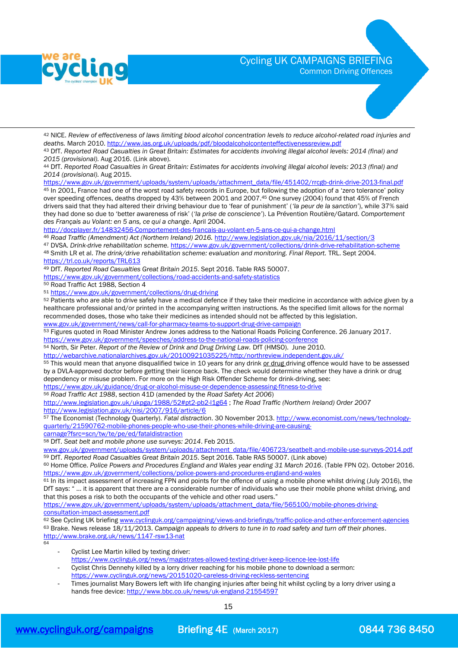

 $\overline{a}$ 

# Cycling UK CAMPAIGNS BRIEFING

Common Driving Offences



<sup>42</sup> NICE. *Review of effectiveness of laws limiting blood alcohol concentration levels to reduce alcohol-related road injuries and deaths.* March 2010.<http://www.ias.org.uk/uploads/pdf/bloodalcoholcontenteffectivenessreview.pdf>

<sup>43</sup> DfT. *Reported Road Casualties in Great Britain: Estimates for accidents involving illegal alcohol levels: 2014 (final) and 2015 (provisional).* Aug 2016. (Link above).

<sup>44</sup> DfT. *Reported Road Casualties in Great Britain: Estimates for accidents involving illegal alcohol levels: 2013 (final) and 2014 (provisional).* Aug 2015.

[https://www.gov.uk/government/uploads/system/uploads/attachment\\_data/file/451402/rrcgb-drink-drive-2013-final.pdf](https://www.gov.uk/government/uploads/system/uploads/attachment_data/file/451402/rrcgb-drink-drive-2013-final.pdf) 45 In 2001, France had one of the worst road safety records in Europe, but following the adoption of a 'zero tolerance' policy

over speeding offences, deaths dropped by 43% between 2001 and 2007.<sup>45</sup> One survey (2004) found that 45% of French drivers said that they had altered their driving behaviour due to 'fear of punishment' (*'la peur de la sanction'*), while 37% said they had done so due to 'better awareness of risk' (*'la prise de conscience'*). La Prévention Routière/Gatard. *Comportement des Français au Volant: en 5 ans, ce qui a change*. April 2004.

<http://docplayer.fr/14832456-Comportement-des-francais-au-volant-en-5-ans-ce-qui-a-change.html>

<sup>46</sup> *Road Traffic (Amendment) Act (Northern Ireland) 2016.* <http://www.legislation.gov.uk/nia/2016/11/section/3>

<sup>47</sup> DVSA. *Drink-drive rehabilitation scheme.* <https://www.gov.uk/government/collections/drink-drive-rehabilitation-scheme> <sup>48</sup> Smith LR et al. *The drink/drive rehabilitation scheme: evaluation and monitoring. Final Report.* TRL. Sept 2004. <https://trl.co.uk/reports/TRL613>

<sup>49</sup> DfT. *Reported Road Casualties Great Britain 2015*. Sept 2016. Table RAS 50007.

<https://www.gov.uk/government/collections/road-accidents-and-safety-statistics>

<sup>50</sup> Road Traffic Act 1988, Section 4

<sup>51</sup> <https://www.gov.uk/government/collections/drug-driving>

52 Patients who are able to drive safely have a medical defence if they take their medicine in accordance with advice given by a healthcare professional and/or printed in the accompanying written instructions. As the specified limit allows for the normal recommended doses, those who take their medicines as intended should not be affected by this legislation.

[www.gov.uk/government/news/call-for-pharmacy-teams-to-support-drug-drive-campaign](http://www.gov.uk/government/news/call-for-pharmacy-teams-to-support-drug-drive-campaign)

53 Figures quoted in Road Minister Andrew Jones address to the National Roads Policing Conference. 26 January 2017. <https://www.gov.uk/government/speeches/address-to-the-national-roads-policing-conference>

<sup>54</sup> North, Sir Peter. *Report of the Review of Drink and Drug Driving Law.* DfT (HMSO). June 2010.

<http://webarchive.nationalarchives.gov.uk/20100921035225/http:/northreview.independent.gov.uk/>

55 This would mean that anyone disqualified twice in 10 years for any drink or drug driving offence would have to be assessed by a DVLA-approved doctor before getting their licence back. The check would determine whether they have a drink or drug dependency or misuse problem. For more on the High Risk Offender Scheme for drink-driving, see:

<https://www.gov.uk/guidance/drug-or-alcohol-misuse-or-dependence-assessing-fitness-to-drive>

<sup>56</sup> *Road Traffic Act 1988*, section 41D (amended by the *Road Safety Act 2006*)

<http://www.legislation.gov.uk/ukpga/1988/52#pt2-pb2-l1g64> ; *The Road Traffic (Northern Ireland) Order 2007* <http://www.legislation.gov.uk/nisi/2007/916/article/6>

<sup>57</sup> The Economist (Technology Quarterly). *Fatal distraction*. 30 November 2013. [http://www.economist.com/news/technology](http://www.economist.com/news/technology-quarterly/21590762-mobile-phones-people-who-use-their-phones-while-driving-are-causing-carnage?fsrc=scn/tw/te/pe/ed/fataldistraction)[quarterly/21590762-mobile-phones-people-who-use-their-phones-while-driving-are-causing-](http://www.economist.com/news/technology-quarterly/21590762-mobile-phones-people-who-use-their-phones-while-driving-are-causing-carnage?fsrc=scn/tw/te/pe/ed/fataldistraction)

[carnage?fsrc=scn/tw/te/pe/ed/fataldistraction](http://www.economist.com/news/technology-quarterly/21590762-mobile-phones-people-who-use-their-phones-while-driving-are-causing-carnage?fsrc=scn/tw/te/pe/ed/fataldistraction)

<sup>58</sup> DfT. *Seat belt and mobile phone use surveys: 2014*. Feb 2015.

[www.gov.uk/government/uploads/system/uploads/attachment\\_data/file/406723/seatbelt-and-mobile-use-surveys-2014.pdf](http://www.gov.uk/government/uploads/system/uploads/attachment_data/file/406723/seatbelt-and-mobile-use-surveys-2014.pdf) <sup>59</sup> DfT. *Reported Road Casualties Great Britain 2015*. Sept 2016. Table RAS 50007. (Link above)

<sup>60</sup> Home Office. *Police Powers and Procedures England and Wales year ending 31 March 2016*. (Table FPN 02). October 2016. <https://www.gov.uk/government/collections/police-powers-and-procedures-england-and-wales>

<sup>61</sup> In its impact assessment of increasing FPN and points for the offence of using a mobile phone whilst driving (July 2016), the DfT says: " … it is apparent that there are a considerable number of individuals who use their mobile phone whilst driving, and that this poses a risk to both the occupants of the vehicle and other road users."

[https://www.gov.uk/government/uploads/system/uploads/attachment\\_data/file/565100/mobile-phones-driving](https://www.gov.uk/government/uploads/system/uploads/attachment_data/file/565100/mobile-phones-driving-consultation-impact-assessment.pdf)[consultation-impact-assessment.pdf](https://www.gov.uk/government/uploads/system/uploads/attachment_data/file/565100/mobile-phones-driving-consultation-impact-assessment.pdf)

<sup>62</sup> See Cycling UK briefing [www.cyclinguk.org/campaigning/views-and-briefings/traffic-police-and-other-enforcement-agencies](https://www.ctc.org.uk/campaigning/views-and-briefings/traffic-police-and-other-enforcement-agencies) <sup>63</sup> Brake. News release 18/11/2013. *Campaign appeals to drivers to tune in to road safety and turn off their phones*. <http://www.brake.org.uk/news/1147-rsw13-nat>

64

Cyclist Lee Martin killed by texting driver:

<https://www.cyclinguk.org/news/magistrates-allowed-texting-driver-keep-licence-lee-lost-life>

- Cyclist Chris Dennehy killed by a lorry driver reaching for his mobile phone to download a sermon: <https://www.cyclinguk.org/news/20151020-careless-driving-reckless-sentencing>

Times journalist Mary Bowers left with life changing injuries after being hit whilst cycling by a lorry driver using a hands free device:<http://www.bbc.co.uk/news/uk-england-21554597>